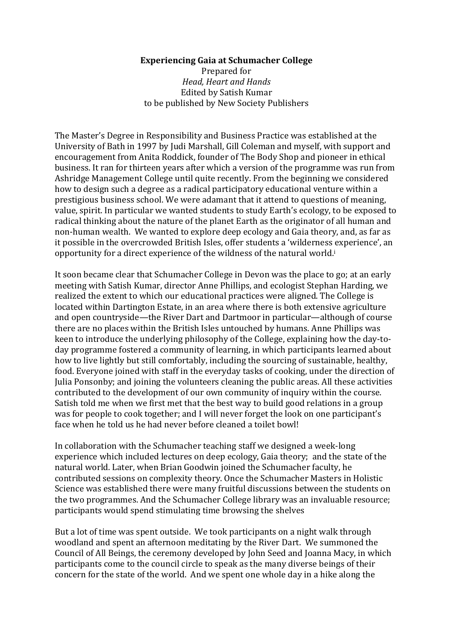## **Experiencing Gaia at Schumacher College**

Prepared for *Head, Heart and Hands* Edited by Satish Kumar to be published by New Society Publishers

The Master's Degree in Responsibility and Business Practice was established at the University of Bath in 1997 by Judi Marshall, Gill Coleman and myself, with support and encouragement from Anita Roddick, founder of The Body Shop and pioneer in ethical business. It ran for thirteen years after which a version of the programme was run from Ashridge Management College until quite recently. From the beginning we considered how to design such a degree as a radical participatory educational venture within a prestigious business school. We were adamant that it attend to questions of meaning, value, spirit. In particular we wanted students to study Earth's ecology, to be exposed to radical thinking about the nature of the planet Earth as the originator of all human and non-human wealth. We wanted to explore deep ecology and Gaia theory, and, as far as it possible in the overcrowded British Isles, offer students a 'wilderness experience', an opportunity for a direct experience of the wildness of the natural world.<sup>i</sup>

It soon became clear that Schumacher College in Devon was the place to go; at an early meeting with Satish Kumar, director Anne Phillips, and ecologist Stephan Harding, we realized the extent to which our educational practices were aligned. The College is located within Dartington Estate, in an area where there is both extensive agriculture and open countryside—the River Dart and Dartmoor in particular—although of course there are no places within the British Isles untouched by humans. Anne Phillips was keen to introduce the underlying philosophy of the College, explaining how the day-today programme fostered a community of learning, in which participants learned about how to live lightly but still comfortably, including the sourcing of sustainable, healthy, food. Everyone ioined with staff in the everyday tasks of cooking, under the direction of Julia Ponsonby; and joining the volunteers cleaning the public areas. All these activities contributed to the development of our own community of inquiry within the course. Satish told me when we first met that the best way to build good relations in a group was for people to cook together; and I will never forget the look on one participant's face when he told us he had never before cleaned a toilet bowl!

In collaboration with the Schumacher teaching staff we designed a week-long experience which included lectures on deep ecology, Gaia theory; and the state of the natural world. Later, when Brian Goodwin joined the Schumacher faculty, he contributed sessions on complexity theory. Once the Schumacher Masters in Holistic Science was established there were many fruitful discussions between the students on the two programmes. And the Schumacher College library was an invaluable resource; participants would spend stimulating time browsing the shelves

But a lot of time was spent outside. We took participants on a night walk through woodland and spent an afternoon meditating by the River Dart. We summoned the Council of All Beings, the ceremony developed by John Seed and Joanna Macy, in which participants come to the council circle to speak as the many diverse beings of their concern for the state of the world. And we spent one whole day in a hike along the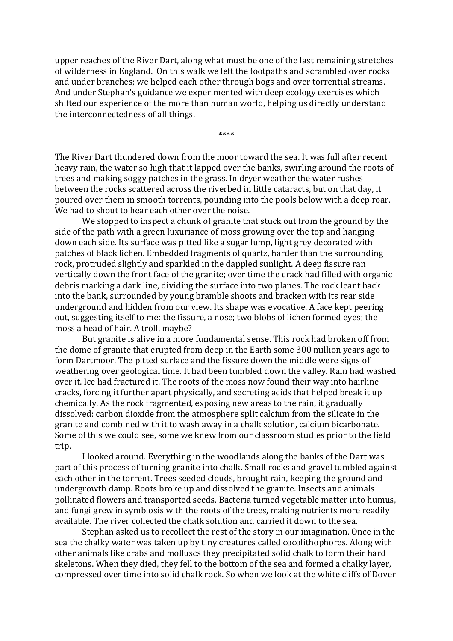upper reaches of the River Dart, along what must be one of the last remaining stretches of wilderness in England. On this walk we left the footpaths and scrambled over rocks and under branches; we helped each other through bogs and over torrential streams. And under Stephan's guidance we experimented with deep ecology exercises which shifted our experience of the more than human world, helping us directly understand the interconnectedness of all things.

\*\*\*\*

The River Dart thundered down from the moor toward the sea. It was full after recent heavy rain, the water so high that it lapped over the banks, swirling around the roots of trees and making soggy patches in the grass. In dryer weather the water rushes between the rocks scattered across the riverbed in little cataracts, but on that day, it poured over them in smooth torrents, pounding into the pools below with a deep roar. We had to shout to hear each other over the noise.

We stopped to inspect a chunk of granite that stuck out from the ground by the side of the path with a green luxuriance of moss growing over the top and hanging down each side. Its surface was pitted like a sugar lump, light grey decorated with patches of black lichen. Embedded fragments of quartz, harder than the surrounding rock, protruded slightly and sparkled in the dappled sunlight. A deep fissure ran vertically down the front face of the granite; over time the crack had filled with organic debris marking a dark line, dividing the surface into two planes. The rock leant back into the bank, surrounded by young bramble shoots and bracken with its rear side underground and hidden from our view. Its shape was evocative. A face kept peering out, suggesting itself to me: the fissure, a nose; two blobs of lichen formed eyes; the moss a head of hair. A troll, maybe?

But granite is alive in a more fundamental sense. This rock had broken off from the dome of granite that erupted from deep in the Earth some 300 million years ago to form Dartmoor. The pitted surface and the fissure down the middle were signs of weathering over geological time. It had been tumbled down the valley. Rain had washed over it. Ice had fractured it. The roots of the moss now found their way into hairline cracks, forcing it further apart physically, and secreting acids that helped break it up chemically. As the rock fragmented, exposing new areas to the rain, it gradually dissolved: carbon dioxide from the atmosphere split calcium from the silicate in the granite and combined with it to wash away in a chalk solution, calcium bicarbonate. Some of this we could see, some we knew from our classroom studies prior to the field trip. 

I looked around. Everything in the woodlands along the banks of the Dart was part of this process of turning granite into chalk. Small rocks and gravel tumbled against each other in the torrent. Trees seeded clouds, brought rain, keeping the ground and undergrowth damp. Roots broke up and dissolved the granite. Insects and animals pollinated flowers and transported seeds. Bacteria turned vegetable matter into humus, and fungi grew in symbiosis with the roots of the trees, making nutrients more readily available. The river collected the chalk solution and carried it down to the sea.

Stephan asked us to recollect the rest of the story in our imagination. Once in the sea the chalky water was taken up by tiny creatures called cocolithophores. Along with other animals like crabs and molluscs they precipitated solid chalk to form their hard skeletons. When they died, they fell to the bottom of the sea and formed a chalky layer, compressed over time into solid chalk rock. So when we look at the white cliffs of Dover